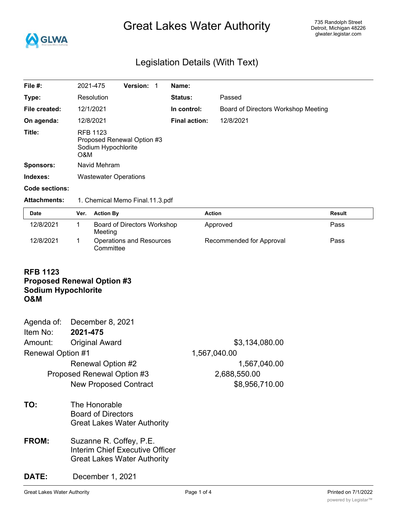

# Great Lakes Water Authority

## Legislation Details (With Text)

| File #:             | 2021-475                                      | <b>Version:</b>                 | Name:                |                                     |               |
|---------------------|-----------------------------------------------|---------------------------------|----------------------|-------------------------------------|---------------|
| Type:               | <b>Resolution</b>                             |                                 | <b>Status:</b>       | Passed                              |               |
| File created:       | 12/1/2021                                     |                                 | In control:          | Board of Directors Workshop Meeting |               |
| On agenda:          | 12/8/2021                                     |                                 | <b>Final action:</b> | 12/8/2021                           |               |
| Title:              | <b>RFB 1123</b><br>Sodium Hypochlorite<br>O&M | Proposed Renewal Option #3      |                      |                                     |               |
| <b>Sponsors:</b>    | Navid Mehram                                  |                                 |                      |                                     |               |
| Indexes:            | <b>Wastewater Operations</b>                  |                                 |                      |                                     |               |
| Code sections:      |                                               |                                 |                      |                                     |               |
| <b>Attachments:</b> |                                               | 1. Chemical Memo Final.11.3.pdf |                      |                                     |               |
| Date                | <b>Action By</b><br>Ver.                      |                                 |                      | <b>Action</b>                       | <b>Result</b> |
|                     |                                               |                                 |                      |                                     |               |

| puw       | $\mathbf{v}$ . Avuvilla                | Avuvu                    | 115341L |
|-----------|----------------------------------------|--------------------------|---------|
| 12/8/2021 | Board of Directors Workshop<br>Meeting | Approved                 | Pass    |
| 12/8/2021 | Operations and Resources<br>Committee  | Recommended for Approval | Pass    |

### **RFB 1123 Proposed Renewal Option #3**

## **Sodium Hypochlorite**

## **O&M**

|                          | Agenda of: December 8, 2021  |                |
|--------------------------|------------------------------|----------------|
| Item No:                 | 2021-475                     |                |
| Amount:                  | <b>Original Award</b>        | \$3,134,080.00 |
| <b>Renewal Option #1</b> |                              | 1,567,040.00   |
|                          | Renewal Option #2            | 1,567,040.00   |
|                          | Proposed Renewal Option #3   | 2,688,550.00   |
|                          | <b>New Proposed Contract</b> | \$8,956,710.00 |
| тΛ.                      | The Uenerable                |                |

- **TO:** The Honorable Board of Directors Great Lakes Water Authority
- **FROM:** Suzanne R. Coffey, P.E. Interim Chief Executive Officer Great Lakes Water Authority

## **DATE:** December 1, 2021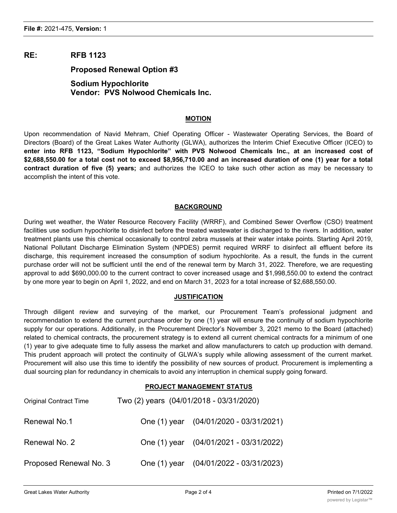## **RE: RFB 1123**

### **Proposed Renewal Option #3**

## **Sodium Hypochlorite Vendor: PVS Nolwood Chemicals Inc.**

#### **MOTION**

Upon recommendation of Navid Mehram, Chief Operating Officer - Wastewater Operating Services, the Board of Directors (Board) of the Great Lakes Water Authority (GLWA), authorizes the Interim Chief Executive Officer (ICEO) to **enter into RFB 1123, "Sodium Hypochlorite" with PVS Nolwood Chemicals Inc., at an increased cost of** \$2,688,550.00 for a total cost not to exceed \$8,956,710.00 and an increased duration of one (1) year for a total **contract duration of five (5) years;** and authorizes the ICEO to take such other action as may be necessary to accomplish the intent of this vote.

#### **BACKGROUND**

During wet weather, the Water Resource Recovery Facility (WRRF), and Combined Sewer Overflow (CSO) treatment facilities use sodium hypochlorite to disinfect before the treated wastewater is discharged to the rivers. In addition, water treatment plants use this chemical occasionally to control zebra mussels at their water intake points. Starting April 2019, National Pollutant Discharge Elimination System (NPDES) permit required WRRF to disinfect all effluent before its discharge, this requirement increased the consumption of sodium hypochlorite. As a result, the funds in the current purchase order will not be sufficient until the end of the renewal term by March 31, 2022. Therefore, we are requesting approval to add \$690,000.00 to the current contract to cover increased usage and \$1,998,550.00 to extend the contract by one more year to begin on April 1, 2022, and end on March 31, 2023 for a total increase of \$2,688,550.00.

#### **JUSTIFICATION**

Through diligent review and surveying of the market, our Procurement Team's professional judgment and recommendation to extend the current purchase order by one (1) year will ensure the continuity of sodium hypochlorite supply for our operations. Additionally, in the Procurement Director's November 3, 2021 memo to the Board (attached) related to chemical contracts, the procurement strategy is to extend all current chemical contracts for a minimum of one (1) year to give adequate time to fully assess the market and allow manufacturers to catch up production with demand. This prudent approach will protect the continuity of GLWA's supply while allowing assessment of the current market. Procurement will also use this time to identify the possibility of new sources of product. Procurement is implementing a dual sourcing plan for redundancy in chemicals to avoid any interruption in chemical supply going forward.

#### **PROJECT MANAGEMENT STATUS**

| <b>Original Contract Time</b> | Two (2) years (04/01/2018 - 03/31/2020) |
|-------------------------------|-----------------------------------------|
| Renewal No.1                  | One (1) year (04/01/2020 - 03/31/2021)  |
| Renewal No. 2                 | One (1) year (04/01/2021 - 03/31/2022)  |
| Proposed Renewal No. 3        | One (1) year (04/01/2022 - 03/31/2023)  |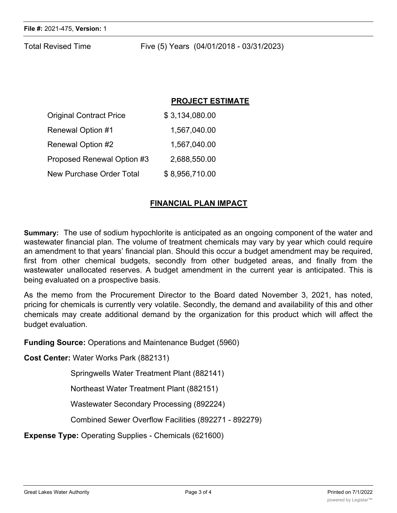Total Revised Time Five (5) Years (04/01/2018 - 03/31/2023)

## **PROJECT ESTIMATE**

| <b>Original Contract Price</b>  | \$3,134,080.00 |
|---------------------------------|----------------|
| <b>Renewal Option #1</b>        | 1,567,040.00   |
| Renewal Option #2               | 1,567,040.00   |
| Proposed Renewal Option #3      | 2.688,550.00   |
| <b>New Purchase Order Total</b> | \$8,956,710.00 |

## **FINANCIAL PLAN IMPACT**

**Summary:** The use of sodium hypochlorite is anticipated as an ongoing component of the water and wastewater financial plan. The volume of treatment chemicals may vary by year which could require an amendment to that years' financial plan. Should this occur a budget amendment may be required, first from other chemical budgets, secondly from other budgeted areas, and finally from the wastewater unallocated reserves. A budget amendment in the current year is anticipated. This is being evaluated on a prospective basis.

As the memo from the Procurement Director to the Board dated November 3, 2021, has noted, pricing for chemicals is currently very volatile. Secondly, the demand and availability of this and other chemicals may create additional demand by the organization for this product which will affect the budget evaluation.

**Funding Source:** Operations and Maintenance Budget (5960)

**Cost Center:** Water Works Park (882131)

Springwells Water Treatment Plant (882141)

Northeast Water Treatment Plant (882151)

Wastewater Secondary Processing (892224)

Combined Sewer Overflow Facilities (892271 - 892279)

**Expense Type:** Operating Supplies - Chemicals (621600)